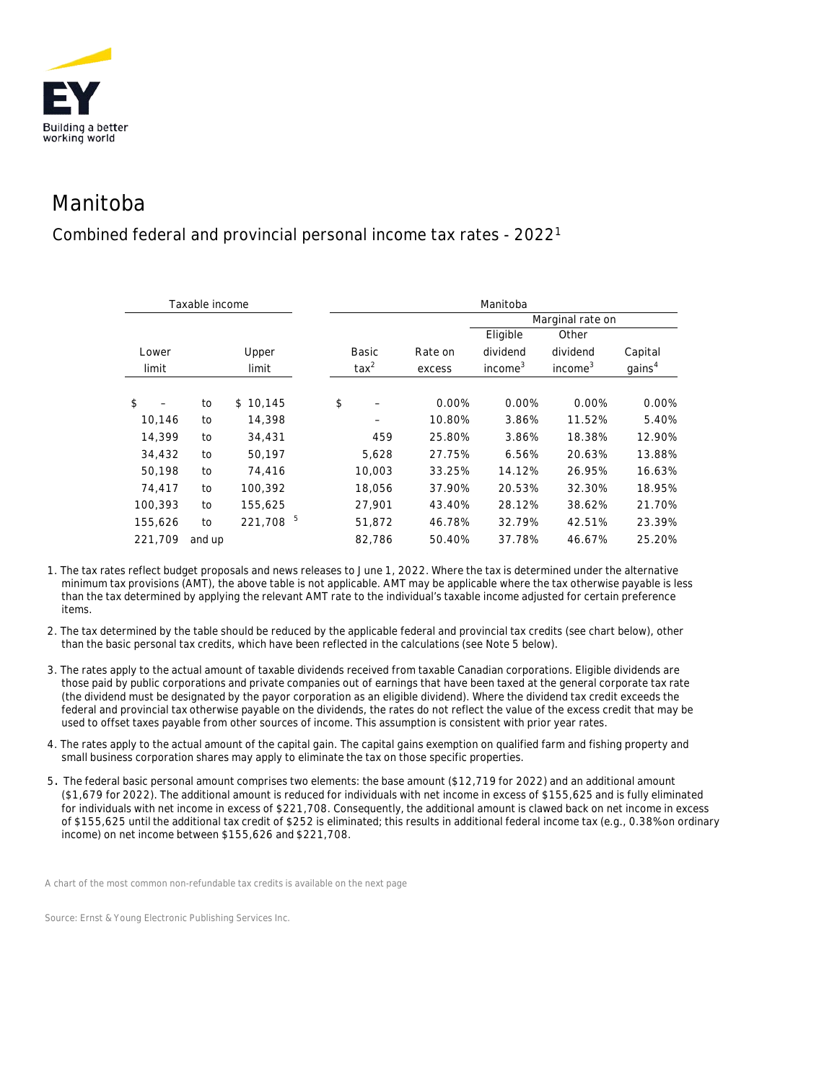

## Manitoba

## Combined federal and provincial personal income tax rates - 20221

| Taxable income |        |              | Manitoba       |         |                     |                     |                    |  |
|----------------|--------|--------------|----------------|---------|---------------------|---------------------|--------------------|--|
|                |        |              |                |         | Marginal rate on    |                     |                    |  |
|                |        |              |                |         | Eligible            | Other               |                    |  |
| Lower          |        | Upper        | Basic          | Rate on | dividend            | dividend            | Capital            |  |
| limit          |        | limit        | $\text{tax}^2$ | excess  | income <sup>3</sup> | income <sup>3</sup> | gains <sup>4</sup> |  |
|                |        |              |                |         |                     |                     |                    |  |
| \$             | to     | \$<br>10,145 | \$             | 0.00%   | 0.00%               | 0.00%               | 0.00%              |  |
| 10,146         | to     | 14,398       |                | 10.80%  | 3.86%               | 11.52%              | 5.40%              |  |
| 14,399         | to     | 34,431       | 459            | 25.80%  | 3.86%               | 18.38%              | 12.90%             |  |
| 34,432         | to     | 50,197       | 5,628          | 27.75%  | 6.56%               | 20.63%              | 13.88%             |  |
| 50,198         | to     | 74,416       | 10,003         | 33.25%  | 14.12%              | 26.95%              | 16.63%             |  |
| 74.417         | to     | 100.392      | 18,056         | 37.90%  | 20.53%              | 32.30%              | 18.95%             |  |
| 100.393        | to     | 155,625      | 27,901         | 43.40%  | 28.12%              | 38.62%              | 21.70%             |  |
| 155,626        | to     | 5<br>221,708 | 51,872         | 46.78%  | 32.79%              | 42.51%              | 23.39%             |  |
| 221.709        | and up |              | 82.786         | 50.40%  | 37.78%              | 46.67%              | 25.20%             |  |

1. The tax rates reflect budget proposals and news releases to June 1, 2022. Where the tax is determined under the alternative minimum tax provisions (AMT), the above table is not applicable. AMT may be applicable where the tax otherwise payable is less than the tax determined by applying the relevant AMT rate to the individual's taxable income adjusted for certain preference items.

2. The tax determined by the table should be reduced by the applicable federal and provincial tax credits (see chart below), other than the basic personal tax credits, which have been reflected in the calculations (see Note 5 below).

- 3. The rates apply to the actual amount of taxable dividends received from taxable Canadian corporations. Eligible dividends are those paid by public corporations and private companies out of earnings that have been taxed at the general corporate tax rate (the dividend must be designated by the payor corporation as an eligible dividend). Where the dividend tax credit exceeds the federal and provincial tax otherwise payable on the dividends, the rates do not reflect the value of the excess credit that may be used to offset taxes payable from other sources of income. This assumption is consistent with prior year rates.
- 4. The rates apply to the actual amount of the capital gain. The capital gains exemption on qualified farm and fishing property and small business corporation shares may apply to eliminate the tax on those specific properties.
- 5. The federal basic personal amount comprises two elements: the base amount (\$12,719 for 2022) and an additional amount (\$1,679 for 2022). The additional amount is reduced for individuals with net income in excess of \$155,625 and is fully eliminated for individuals with net income in excess of \$221,708. Consequently, the additional amount is clawed back on net income in excess of \$155,625 until the additional tax credit of \$252 is eliminated; this results in additional federal income tax (e.g., 0.38% on ordinary income) on net income between \$155,626 and \$221,708.

*A chart of the most common non-refundable tax credits is available on the next page*

*Source: Ernst & Young Electronic Publishing Services Inc.*